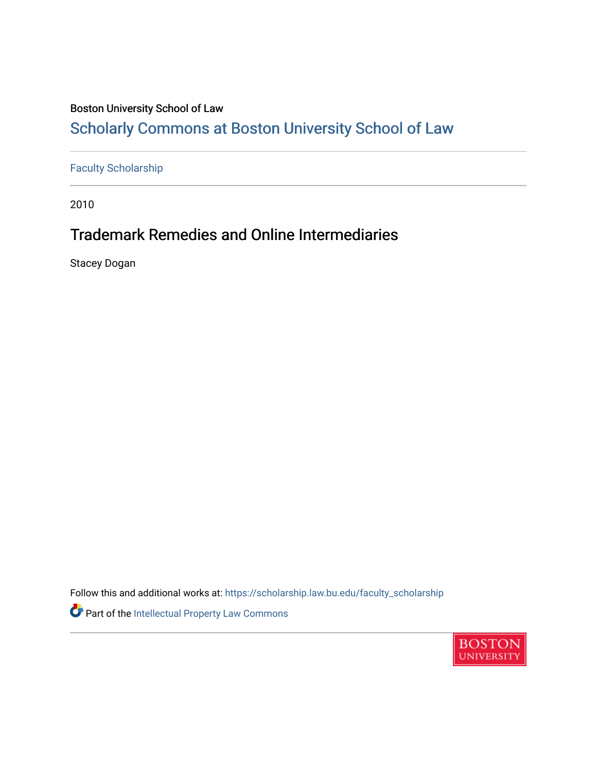## Boston University School of Law

# [Scholarly Commons at Boston University School of Law](https://scholarship.law.bu.edu/)

## [Faculty Scholarship](https://scholarship.law.bu.edu/faculty_scholarship)

2010

# Trademark Remedies and Online Intermediaries

Stacey Dogan

Follow this and additional works at: [https://scholarship.law.bu.edu/faculty\\_scholarship](https://scholarship.law.bu.edu/faculty_scholarship?utm_source=scholarship.law.bu.edu%2Ffaculty_scholarship%2F936&utm_medium=PDF&utm_campaign=PDFCoverPages) Part of the [Intellectual Property Law Commons](http://network.bepress.com/hgg/discipline/896?utm_source=scholarship.law.bu.edu%2Ffaculty_scholarship%2F936&utm_medium=PDF&utm_campaign=PDFCoverPages) 

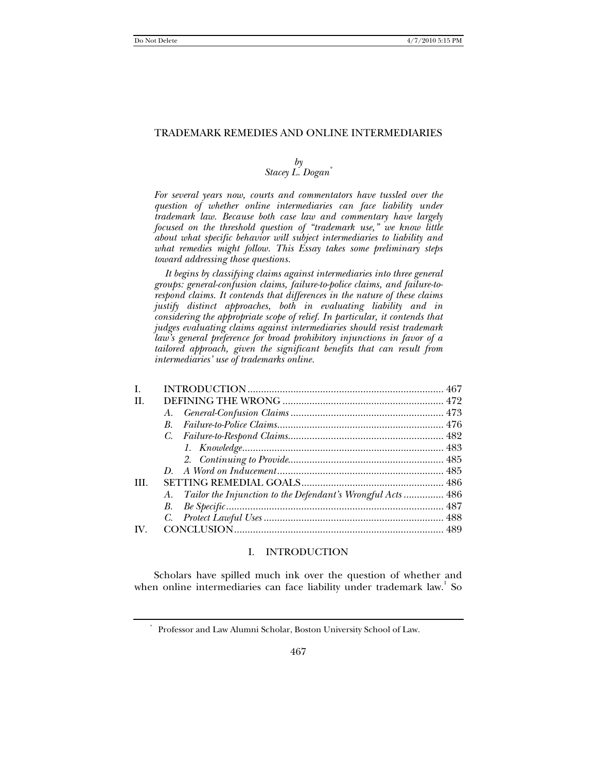### TRADEMARK REMEDIES AND ONLINE INTERMEDIARIES

### *by Stacey L. Dogan\**

*For several years now, courts and commentators have tussled over the question of whether online intermediaries can face liability under trademark law. Because both case law and commentary have largely focused on the threshold question of "trademark use," we know little about what specific behavior will subject intermediaries to liability and what remedies might follow. This Essay takes some preliminary steps toward addressing those questions.* 

 *It begins by classifying claims against intermediaries into three general groups: general-confusion claims, failure-to-police claims, and failure-torespond claims. It contends that differences in the nature of these claims justify distinct approaches, both in evaluating liability and in considering the appropriate scope of relief. In particular, it contends that judges evaluating claims against intermediaries should resist trademark law's general preference for broad prohibitory injunctions in favor of a tailored approach, given the significant benefits that can result from intermediaries' use of trademarks online.* 

| I.   |                                                               |  |
|------|---------------------------------------------------------------|--|
| Н.   |                                                               |  |
|      |                                                               |  |
|      | $B_{\cdot}$                                                   |  |
|      |                                                               |  |
|      |                                                               |  |
|      |                                                               |  |
|      |                                                               |  |
| III. |                                                               |  |
|      | A. Tailor the Injunction to the Defendant's Wrongful Acts 486 |  |
|      |                                                               |  |
|      |                                                               |  |
| IV.  |                                                               |  |
|      |                                                               |  |

### I. INTRODUCTION

Scholars have spilled much ink over the question of whether and when online intermediaries can face liability under trademark law. So

<sup>\*</sup> Professor and Law Alumni Scholar, Boston University School of Law.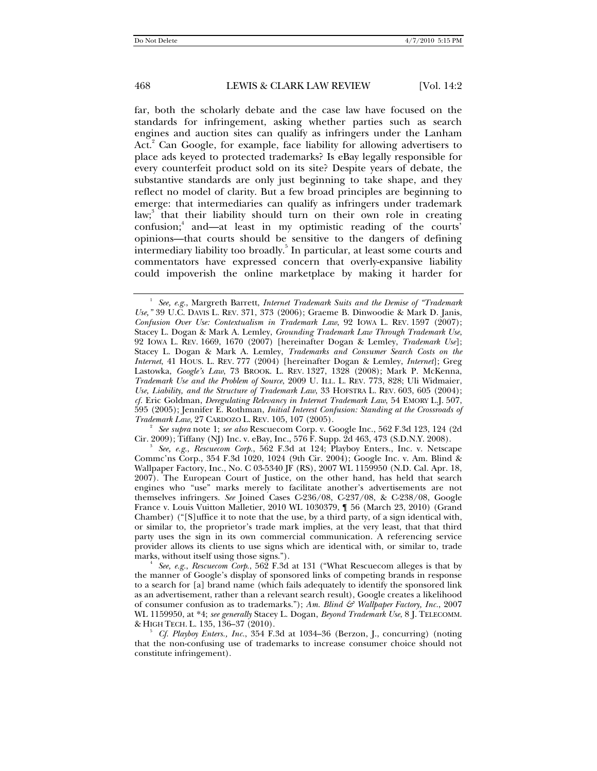far, both the scholarly debate and the case law have focused on the standards for infringement, asking whether parties such as search engines and auction sites can qualify as infringers under the Lanham Act.<sup>2</sup> Can Google, for example, face liability for allowing advertisers to place ads keyed to protected trademarks? Is eBay legally responsible for every counterfeit product sold on its site? Despite years of debate, the substantive standards are only just beginning to take shape, and they reflect no model of clarity. But a few broad principles are beginning to emerge: that intermediaries can qualify as infringers under trademark law;<sup>3</sup> that their liability should turn on their own role in creating confusion;<sup>4</sup> and—at least in my optimistic reading of the courts' opinions—that courts should be sensitive to the dangers of defining intermediary liability too broadly.<sup>5</sup> In particular, at least some courts and commentators have expressed concern that overly-expansive liability could impoverish the online marketplace by making it harder for

*See supra* note 1; *see also* Rescuecom Corp. v. Google Inc., 562 F.3d 123, 124 (2d Cir. 2009); Tiffany (NJ) Inc. v. eBay, Inc., 576 F. Supp. 2d 463, 473 (S.D.N.Y. 2008). 3

*See, e.g.*, *Rescuecom Corp.*, 562 F.3d at 124; Playboy Enters., Inc. v. Netscape Commc'ns Corp., 354 F.3d 1020, 1024 (9th Cir. 2004); Google Inc. v. Am. Blind & Wallpaper Factory, Inc., No. C 03-5340 JF (RS), 2007 WL 1159950 (N.D. Cal. Apr. 18, 2007). The European Court of Justice, on the other hand, has held that search engines who "use" marks merely to facilitate another's advertisements are not themselves infringers. *See* Joined Cases C-236/08, C-237/08, & C-238/08, Google France v. Louis Vuitton Malletier, 2010 WL 1030379, ¶ 56 (March 23, 2010) (Grand Chamber) ("[S]uffice it to note that the use, by a third party, of a sign identical with, or similar to, the proprietor's trade mark implies, at the very least, that that third party uses the sign in its own commercial communication. A referencing service provider allows its clients to use signs which are identical with, or similar to, trade marks, without itself using those signs."). 4

*See, e.g.*, *Rescuecom Corp*., 562 F.3d at 131 ("What Rescuecom alleges is that by the manner of Google's display of sponsored links of competing brands in response to a search for [a] brand name (which fails adequately to identify the sponsored link as an advertisement, rather than a relevant search result), Google creates a likelihood of consumer confusion as to trademarks."); *Am. Blind & Wallpaper Factory, Inc.*, 2007 WL 1159950, at \*4; *see generally* Stacey L. Dogan, *Beyond Trademark Use*, 8 J. TELECOMM. & HIGH TECH. L. 135, 136–37 (2010). 5 *Cf. Playboy Enters., Inc.*, 354 F.3d at 1034–36 (Berzon, J., concurring) (noting

that the non-confusing use of trademarks to increase consumer choice should not constitute infringement).

<sup>&</sup>lt;sup>1</sup> See, e.g., Margreth Barrett, *Internet Trademark Suits and the Demise of "Trademark Use,"* 39 U.C. DAVIS L. REV. 371, 373 (2006); Graeme B. Dinwoodie & Mark D. Janis, *Confusion Over Use: Contextualism in Trademark Law*, 92 IOWA L. REV. 1597 (2007); Stacey L. Dogan & Mark A. Lemley, *Grounding Trademark Law Through Trademark Use*, 92 IOWA L. REV. 1669, 1670 (2007) [hereinafter Dogan & Lemley, *Trademark Use*]; Stacey L. Dogan & Mark A. Lemley, *Trademarks and Consumer Search Costs on the Internet*, 41 HOUS. L. REV. 777 (2004) [hereinafter Dogan & Lemley, *Internet*]; Greg Lastowka, *Google's Law*, 73 BROOK. L. REV. 1327, 1328 (2008); Mark P. McKenna, *Trademark Use and the Problem of Source*, 2009 U. ILL. L. REV. 773, 828; Uli Widmaier, *Use, Liability, and the Structure of Trademark Law*, 33 HOFSTRA L. REV. 603, 605 (2004); *cf.* Eric Goldman, *Deregulating Relevancy in Internet Trademark Law*, 54 EMORY L.J. 507, 595 (2005); Jennifer E. Rothman, *Initial Interest Confusion: Standing at the Crossroads of Trademark Law*, 27 CARDOZO L. REV. 105, 107 (2005). 2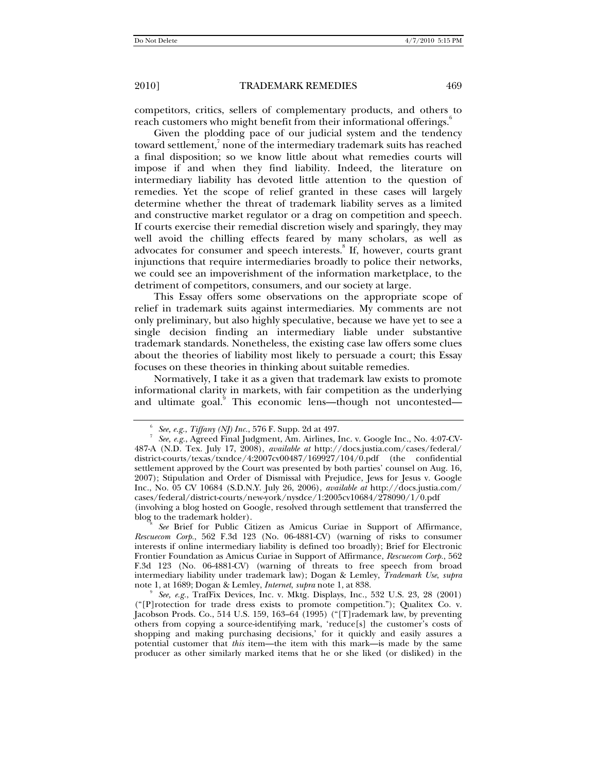competitors, critics, sellers of complementary products, and others to reach customers who might benefit from their informational offerings.<sup>6</sup>

Given the plodding pace of our judicial system and the tendency toward settlement,<sup>7</sup> none of the intermediary trademark suits has reached a final disposition; so we know little about what remedies courts will impose if and when they find liability. Indeed, the literature on intermediary liability has devoted little attention to the question of remedies. Yet the scope of relief granted in these cases will largely determine whether the threat of trademark liability serves as a limited and constructive market regulator or a drag on competition and speech. If courts exercise their remedial discretion wisely and sparingly, they may well avoid the chilling effects feared by many scholars, as well as advocates for consumer and speech interests.<sup>8</sup> If, however, courts grant injunctions that require intermediaries broadly to police their networks, we could see an impoverishment of the information marketplace, to the detriment of competitors, consumers, and our society at large.

This Essay offers some observations on the appropriate scope of relief in trademark suits against intermediaries. My comments are not only preliminary, but also highly speculative, because we have yet to see a single decision finding an intermediary liable under substantive trademark standards. Nonetheless, the existing case law offers some clues about the theories of liability most likely to persuade a court; this Essay focuses on these theories in thinking about suitable remedies.

Normatively, I take it as a given that trademark law exists to promote informational clarity in markets, with fair competition as the underlying and ultimate goal.<sup>9</sup> This economic lens—though not uncontested—

blog to the trademark holder).

*See* Brief for Public Citizen as Amicus Curiae in Support of Affirmance, *Rescuecom Corp.*, 562 F.3d 123 (No. 06-4881-CV) (warning of risks to consumer interests if online intermediary liability is defined too broadly); Brief for Electronic Frontier Foundation as Amicus Curiae in Support of Affirmance, *Rescuecom Corp.*, 562 F.3d 123 (No. 06-4881-CV) (warning of threats to free speech from broad intermediary liability under trademark law); Dogan & Lemley, *Trademark Use*, *supra* note 1, at 1689; Dogan & Lemley, *Internet*, *supra* note 1, at 838.

*See, e.g.*, TrafFix Devices, Inc. v. Mktg. Displays, Inc., 532 U.S. 23, 28 (2001) ("[P]rotection for trade dress exists to promote competition."); Qualitex Co. v. Jacobson Prods. Co., 514 U.S. 159, 163–64 (1995) ("[T]rademark law, by preventing others from copying a source-identifying mark, 'reduce[s] the customer's costs of shopping and making purchasing decisions,' for it quickly and easily assures a potential customer that *this* item—the item with this mark—is made by the same producer as other similarly marked items that he or she liked (or disliked) in the

<sup>6</sup> *See, e.g.*, *Tiffany (NJ) Inc.*, 576 F. Supp. 2d at 497. 7

*See, e.g.*, Agreed Final Judgment, Am. Airlines, Inc. v. Google Inc., No. 4:07-CV-487-A (N.D. Tex. July 17, 2008), *available at* http://docs.justia.com/cases/federal/ district-courts/texas/txndce/4:2007cv00487/169927/104/0.pdf (the confidential settlement approved by the Court was presented by both parties' counsel on Aug. 16, 2007); Stipulation and Order of Dismissal with Prejudice, Jews for Jesus v. Google Inc., No. 05 CV 10684 (S.D.N.Y. July 26, 2006), *available at* http://docs.justia.com/ cases/federal/district-courts/new-york/nysdce/1:2005cv10684/278090/1/0.pdf (involving a blog hosted on Google, resolved through settlement that transferred the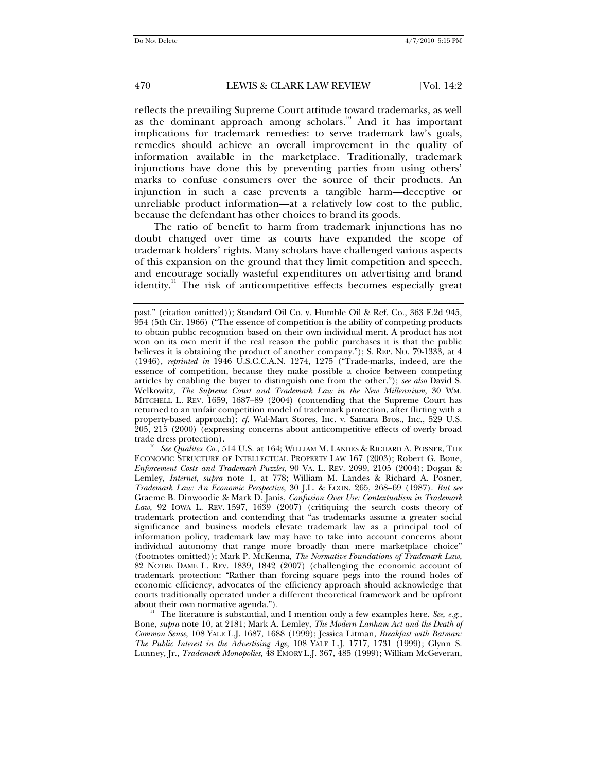reflects the prevailing Supreme Court attitude toward trademarks, as well as the dominant approach among scholars.<sup>10</sup> And it has important implications for trademark remedies: to serve trademark law's goals, remedies should achieve an overall improvement in the quality of information available in the marketplace. Traditionally, trademark injunctions have done this by preventing parties from using others' marks to confuse consumers over the source of their products. An injunction in such a case prevents a tangible harm—deceptive or unreliable product information—at a relatively low cost to the public, because the defendant has other choices to brand its goods.

The ratio of benefit to harm from trademark injunctions has no doubt changed over time as courts have expanded the scope of trademark holders' rights. Many scholars have challenged various aspects of this expansion on the ground that they limit competition and speech, and encourage socially wasteful expenditures on advertising and brand identity.<sup>11</sup> The risk of anticompetitive effects becomes especially great

trade dress protection).<br><sup>10</sup> *See Qualitex Co.*, 514 U.S. at 164; WILLIAM M. LANDES & RICHARD A. POSNER, THE ECONOMIC STRUCTURE OF INTELLECTUAL PROPERTY LAW 167 (2003); Robert G. Bone, *Enforcement Costs and Trademark Puzzles*, 90 VA. L. REV. 2099, 2105 (2004); Dogan & Lemley, *Internet*, *supra* note 1, at 778; William M. Landes & Richard A. Posner, *Trademark Law: An Economic Perspective*, 30 J.L. & ECON. 265, 268–69 (1987). *But see* Graeme B. Dinwoodie & Mark D. Janis, *Confusion Over Use: Contextualism in Trademark Law*, 92 IOWA L. REV. 1597, 1639 (2007) (critiquing the search costs theory of trademark protection and contending that "as trademarks assume a greater social significance and business models elevate trademark law as a principal tool of information policy, trademark law may have to take into account concerns about individual autonomy that range more broadly than mere marketplace choice" (footnotes omitted)); Mark P. McKenna, *The Normative Foundations of Trademark Law*, 82 NOTRE DAME L. REV. 1839, 1842 (2007) (challenging the economic account of trademark protection: "Rather than forcing square pegs into the round holes of economic efficiency, advocates of the efficiency approach should acknowledge that courts traditionally operated under a different theoretical framework and be upfront

The literature is substantial, and I mention only a few examples here. *See, e.g.*, Bone, *supra* note 10, at 2181; Mark A. Lemley, *The Modern Lanham Act and the Death of Common Sense*, 108 YALE L.J. 1687, 1688 (1999); Jessica Litman, *Breakfast with Batman: The Public Interest in the Advertising Age*, 108 YALE L.J. 1717, 1731 (1999); Glynn S. Lunney, Jr., *Trademark Monopolies*, 48 EMORY L.J. 367, 485 (1999); William McGeveran,

past." (citation omitted)); Standard Oil Co. v. Humble Oil & Ref. Co., 363 F.2d 945, 954 (5th Cir. 1966) ("The essence of competition is the ability of competing products to obtain public recognition based on their own individual merit. A product has not won on its own merit if the real reason the public purchases it is that the public believes it is obtaining the product of another company."); S. REP. NO. 79-1333, at 4 (1946), *reprinted in* 1946 U.S.C.C.A.N. 1274, 1275 ("Trade-marks, indeed, are the essence of competition, because they make possible a choice between competing articles by enabling the buyer to distinguish one from the other."); *see also* David S. Welkowitz, *The Supreme Court and Trademark Law in the New Millennium*, 30 WM. MITCHELL L. REV. 1659, 1687–89 (2004) (contending that the Supreme Court has returned to an unfair competition model of trademark protection, after flirting with a property-based approach); *cf.* Wal-Mart Stores, Inc. v. Samara Bros., Inc., 529 U.S. 205, 215 (2000) (expressing concerns about anticompetitive effects of overly broad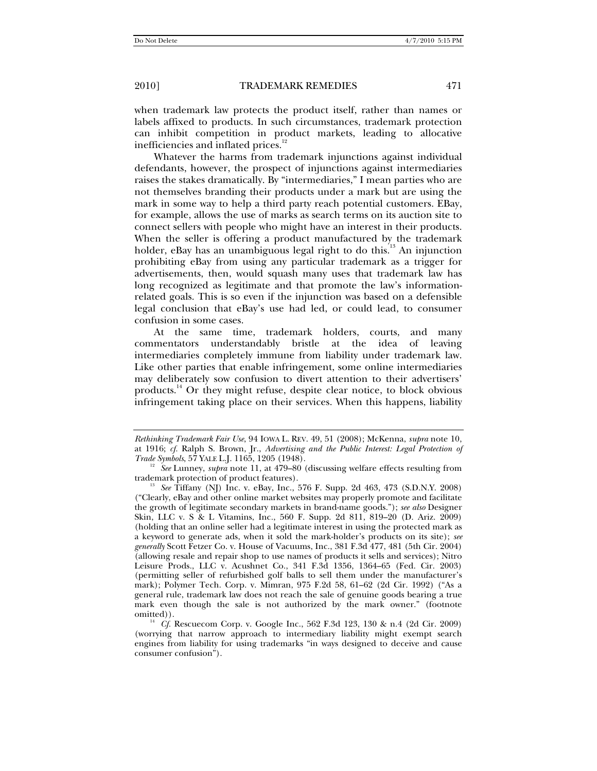when trademark law protects the product itself, rather than names or labels affixed to products. In such circumstances, trademark protection can inhibit competition in product markets, leading to allocative inefficiencies and inflated prices.<sup>12</sup>

Whatever the harms from trademark injunctions against individual defendants, however, the prospect of injunctions against intermediaries raises the stakes dramatically. By "intermediaries," I mean parties who are not themselves branding their products under a mark but are using the mark in some way to help a third party reach potential customers. EBay, for example, allows the use of marks as search terms on its auction site to connect sellers with people who might have an interest in their products. When the seller is offering a product manufactured by the trademark holder, eBay has an unambiguous legal right to do this. $13$  An injunction prohibiting eBay from using any particular trademark as a trigger for advertisements, then, would squash many uses that trademark law has long recognized as legitimate and that promote the law's informationrelated goals. This is so even if the injunction was based on a defensible legal conclusion that eBay's use had led, or could lead, to consumer confusion in some cases.

At the same time, trademark holders, courts, and many commentators understandably bristle at the idea of leaving intermediaries completely immune from liability under trademark law. Like other parties that enable infringement, some online intermediaries may deliberately sow confusion to divert attention to their advertisers' products.14 Or they might refuse, despite clear notice, to block obvious infringement taking place on their services. When this happens, liability

*Rethinking Trademark Fair Use*, 94 IOWA L. REV. 49, 51 (2008); McKenna, *supra* note 10, at 1916; *cf.* Ralph S. Brown, Jr., *Advertising and the Public Interest: Legal Protection of* 

*Trademark protection of product features*).<br> *Trademark protection of product features*).<br>
<sup>13</sup> *See Tiffany (ND Jac J. Jac J. Jac J. Jac J. Jac J. Jac J. Jac J. Jac J. Jac J. Jac J. Jac J. Jac J. Jac J. Jac J. Jac J. Jac* 

See Tiffany (NJ) Inc. v. eBay, Inc., 576 F. Supp. 2d 463, 473 (S.D.N.Y. 2008) ("Clearly, eBay and other online market websites may properly promote and facilitate the growth of legitimate secondary markets in brand-name goods."); *see also* Designer Skin, LLC v. S & L Vitamins, Inc*.*, 560 F. Supp. 2d 811, 819–20 (D. Ariz. 2009) (holding that an online seller had a legitimate interest in using the protected mark as a keyword to generate ads, when it sold the mark-holder's products on its site); *see generally* Scott Fetzer Co. v. House of Vacuums, Inc., 381 F.3d 477, 481 (5th Cir. 2004) (allowing resale and repair shop to use names of products it sells and services); Nitro Leisure Prods., LLC v. Acushnet Co., 341 F.3d 1356, 1364–65 (Fed. Cir. 2003) (permitting seller of refurbished golf balls to sell them under the manufacturer's mark); Polymer Tech. Corp. v. Mimran, 975 F.2d 58, 61–62 (2d Cir. 1992) ("As a general rule, trademark law does not reach the sale of genuine goods bearing a true mark even though the sale is not authorized by the mark owner." (footnote

<sup>&</sup>lt;sup>14</sup> *Cf.* Rescuecom Corp. v. Google Inc., 562 F.3d 123, 130 & n.4 (2d Cir. 2009) (worrying that narrow approach to intermediary liability might exempt search engines from liability for using trademarks "in ways designed to deceive and cause consumer confusion").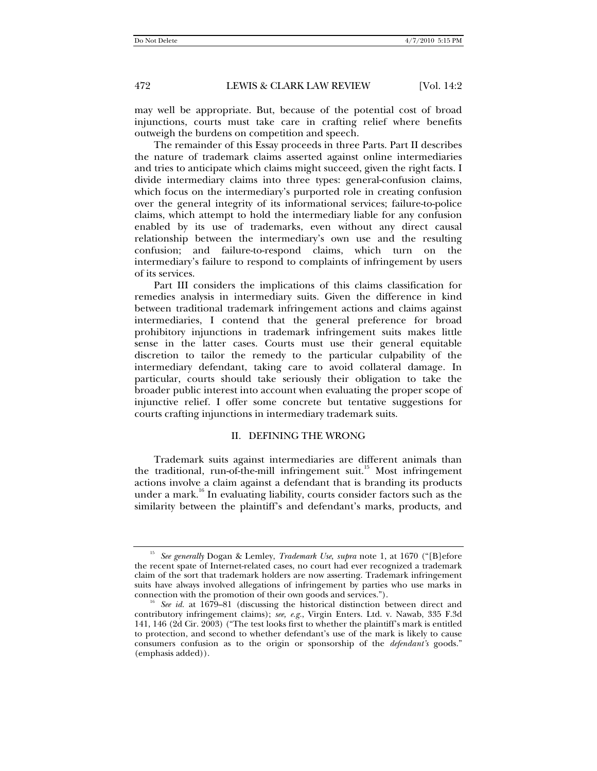may well be appropriate. But, because of the potential cost of broad injunctions, courts must take care in crafting relief where benefits outweigh the burdens on competition and speech.

The remainder of this Essay proceeds in three Parts. Part II describes the nature of trademark claims asserted against online intermediaries and tries to anticipate which claims might succeed, given the right facts. I divide intermediary claims into three types: general-confusion claims, which focus on the intermediary's purported role in creating confusion over the general integrity of its informational services; failure-to-police claims, which attempt to hold the intermediary liable for any confusion enabled by its use of trademarks, even without any direct causal relationship between the intermediary's own use and the resulting confusion; and failure-to-respond claims, which turn on the intermediary's failure to respond to complaints of infringement by users of its services.

Part III considers the implications of this claims classification for remedies analysis in intermediary suits. Given the difference in kind between traditional trademark infringement actions and claims against intermediaries, I contend that the general preference for broad prohibitory injunctions in trademark infringement suits makes little sense in the latter cases. Courts must use their general equitable discretion to tailor the remedy to the particular culpability of the intermediary defendant, taking care to avoid collateral damage. In particular, courts should take seriously their obligation to take the broader public interest into account when evaluating the proper scope of injunctive relief. I offer some concrete but tentative suggestions for courts crafting injunctions in intermediary trademark suits.

### II. DEFINING THE WRONG

Trademark suits against intermediaries are different animals than the traditional, run-of-the-mill infringement suit.<sup>15</sup> Most infringement actions involve a claim against a defendant that is branding its products under a mark.<sup>16</sup> In evaluating liability, courts consider factors such as the similarity between the plaintiff's and defendant's marks, products, and

<sup>15</sup> *See generally* Dogan & Lemley, *Trademark Use*, *supra* note 1, at 1670 ("[B]efore the recent spate of Internet-related cases, no court had ever recognized a trademark claim of the sort that trademark holders are now asserting. Trademark infringement suits have always involved allegations of infringement by parties who use marks in

connection with the promotion of their own goods and services."). 16 *See id.* at 1679–81 (discussing the historical distinction between direct and contributory infringement claims); *see, e.g.*, Virgin Enters. Ltd. v. Nawab, 335 F.3d 141, 146 (2d Cir. 2003) ("The test looks first to whether the plaintiff's mark is entitled to protection, and second to whether defendant's use of the mark is likely to cause consumers confusion as to the origin or sponsorship of the *defendant's* goods." (emphasis added)).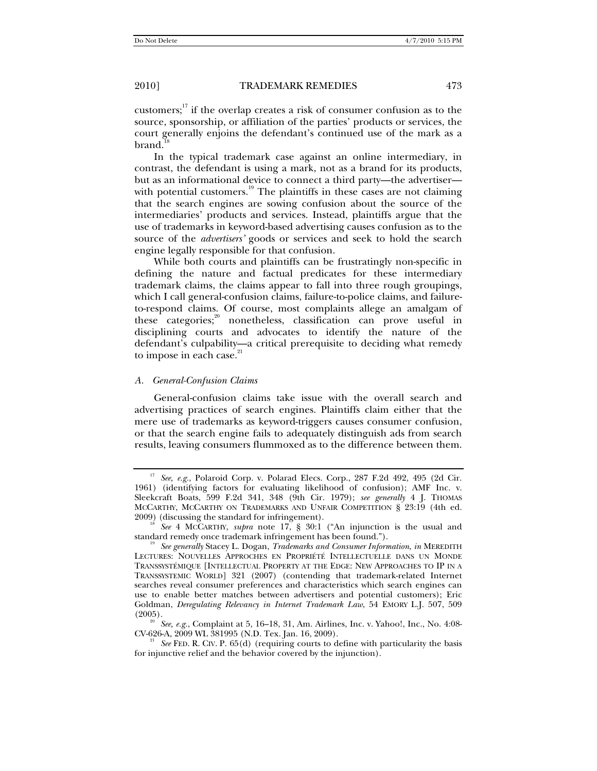customers; $17$  if the overlap creates a risk of consumer confusion as to the source, sponsorship, or affiliation of the parties' products or services, the court generally enjoins the defendant's continued use of the mark as a brand.

In the typical trademark case against an online intermediary, in contrast, the defendant is using a mark, not as a brand for its products, but as an informational device to connect a third party—the advertiser with potential customers. $19$  The plaintiffs in these cases are not claiming that the search engines are sowing confusion about the source of the intermediaries' products and services. Instead, plaintiffs argue that the use of trademarks in keyword-based advertising causes confusion as to the source of the *advertisers'* goods or services and seek to hold the search engine legally responsible for that confusion.

While both courts and plaintiffs can be frustratingly non-specific in defining the nature and factual predicates for these intermediary trademark claims, the claims appear to fall into three rough groupings, which I call general-confusion claims, failure-to-police claims, and failureto-respond claims. Of course, most complaints allege an amalgam of these categories;<sup>20</sup> nonetheless, classification can prove useful in disciplining courts and advocates to identify the nature of the defendant's culpability—a critical prerequisite to deciding what remedy to impose in each case. $21$ 

### *A. General-Confusion Claims*

General-confusion claims take issue with the overall search and advertising practices of search engines. Plaintiffs claim either that the mere use of trademarks as keyword-triggers causes consumer confusion, or that the search engine fails to adequately distinguish ads from search results, leaving consumers flummoxed as to the difference between them.

<sup>17</sup> *See, e.g.*, Polaroid Corp. v. Polarad Elecs. Corp., 287 F.2d 492, 495 (2d Cir. 1961) (identifying factors for evaluating likelihood of confusion); AMF Inc. v. Sleekcraft Boats, 599 F.2d 341, 348 (9th Cir. 1979); *see generally* 4 J. THOMAS MCCARTHY, MCCARTHY ON TRADEMARKS AND UNFAIR COMPETITION § 23:19 (4th ed. 2009) (discussing the standard for infringement). 18 *See* 4 MCCARTHY, *supra* note 17, § 30:1 ("An injunction is the usual and

standard remedy once trademark infringement has been found."). 19 *See generally* Stacey L. Dogan, *Trademarks and Consumer Information*, *in* MEREDITH

LECTURES: NOUVELLES APPROCHES EN PROPRIÉTÉ INTELLECTUELLE DANS UN MONDE TRANSSYSTÉMIQUE [INTELLECTUAL PROPERTY AT THE EDGE: NEW APPROACHES TO IP IN A TRANSSYSTEMIC WORLD] 321 (2007) (contending that trademark-related Internet searches reveal consumer preferences and characteristics which search engines can use to enable better matches between advertisers and potential customers); Eric Goldman, *Deregulating Relevancy in Internet Trademark Law*, 54 EMORY L.J. 507, 509

<sup>&</sup>lt;sup>20</sup> *See, e.g.*, Complaint at 5, 16–18, 31, Am. Airlines, Inc. v. Yahoo!, Inc., No. 4:08-CV-626-A, 2009 WL 381995 (N.D. Tex. Jan. 16, 2009).

See FED. R. CIV. P. 65(d) (requiring courts to define with particularity the basis for injunctive relief and the behavior covered by the injunction).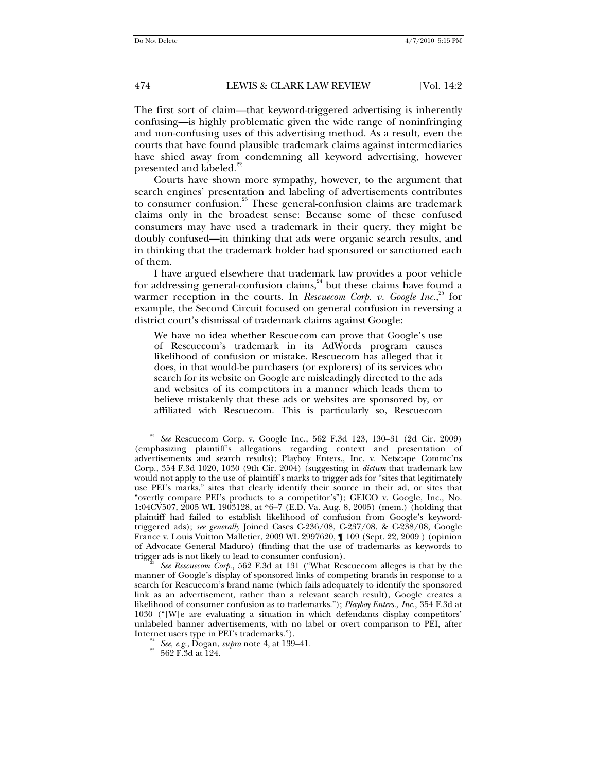The first sort of claim—that keyword-triggered advertising is inherently confusing—is highly problematic given the wide range of noninfringing and non-confusing uses of this advertising method. As a result, even the courts that have found plausible trademark claims against intermediaries have shied away from condemning all keyword advertising, however presented and labeled. $^{22}$ 

Courts have shown more sympathy, however, to the argument that search engines' presentation and labeling of advertisements contributes to consumer confusion.<sup>23</sup> These general-confusion claims are trademark claims only in the broadest sense: Because some of these confused consumers may have used a trademark in their query, they might be doubly confused—in thinking that ads were organic search results, and in thinking that the trademark holder had sponsored or sanctioned each of them.

I have argued elsewhere that trademark law provides a poor vehicle for addressing general-confusion claims, $24$  but these claims have found a warmer reception in the courts. In *Rescuecom Corp. v. Google Inc.*,<sup>25</sup> for example, the Second Circuit focused on general confusion in reversing a district court's dismissal of trademark claims against Google:

We have no idea whether Rescuecom can prove that Google's use of Rescuecom's trademark in its AdWords program causes likelihood of confusion or mistake. Rescuecom has alleged that it does, in that would-be purchasers (or explorers) of its services who search for its website on Google are misleadingly directed to the ads and websites of its competitors in a manner which leads them to believe mistakenly that these ads or websites are sponsored by, or affiliated with Rescuecom. This is particularly so, Rescuecom

<sup>22</sup> *See* Rescuecom Corp. v. Google Inc., 562 F.3d 123, 130–31 (2d Cir. 2009) (emphasizing plaintiff's allegations regarding context and presentation of advertisements and search results); Playboy Enters., Inc. v. Netscape Commc'ns Corp., 354 F.3d 1020, 1030 (9th Cir. 2004) (suggesting in *dictum* that trademark law would not apply to the use of plaintiff's marks to trigger ads for "sites that legitimately use PEI's marks," sites that clearly identify their source in their ad, or sites that "overtly compare PEI's products to a competitor's"); GEICO v. Google, Inc., No. 1:04CV507, 2005 WL 1903128, at \*6–7 (E.D. Va. Aug. 8, 2005) (mem.) (holding that plaintiff had failed to establish likelihood of confusion from Google's keywordtriggered ads); *see generally* Joined Cases C-236/08, C-237/08, & C-238/08, Google France v. Louis Vuitton Malletier, 2009 WL 2997620, ¶ 109 (Sept. 22, 2009 ) (opinion of Advocate General Maduro) (finding that the use of trademarks as keywords to

See Rescuecom Corp., 562 F.3d at 131 ("What Rescuecom alleges is that by the manner of Google's display of sponsored links of competing brands in response to a search for Rescuecom's brand name (which fails adequately to identify the sponsored link as an advertisement, rather than a relevant search result), Google creates a likelihood of consumer confusion as to trademarks."); *Playboy Enters., Inc.*, 354 F.3d at 1030 ("[W]e are evaluating a situation in which defendants display competitors' unlabeled banner advertisements, with no label or overt comparison to PEI, after Internet users type in PEI's trademarks.").<br><sup>24</sup> *See, e.g.*, Dogan, *supra* note 4, at 139–41.<br><sup>25</sup> 562 F.3d at 124.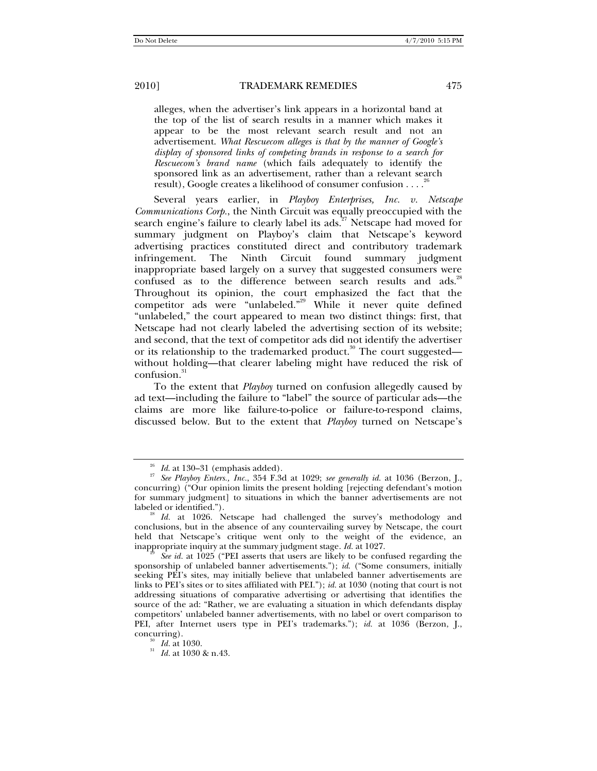alleges, when the advertiser's link appears in a horizontal band at the top of the list of search results in a manner which makes it appear to be the most relevant search result and not an advertisement. *What Rescuecom alleges is that by the manner of Google's display of sponsored links of competing brands in response to a search for Rescuecom's brand name* (which fails adequately to identify the sponsored link as an advertisement, rather than a relevant search result), Google creates a likelihood of consumer confusion . . . .<sup>2</sup>

Several years earlier, in *Playboy Enterprises, Inc. v. Netscape Communications Corp.*, the Ninth Circuit was equally preoccupied with the search engine's failure to clearly label its  $\text{ads}^{27}$ . Netscape had moved for summary judgment on Playboy's claim that Netscape's keyword advertising practices constituted direct and contributory trademark infringement. The Ninth Circuit found summary judgment inappropriate based largely on a survey that suggested consumers were confused as to the difference between search results and ads.<sup>28</sup> Throughout its opinion, the court emphasized the fact that the competitor ads were "unlabeled."<sup>29</sup> While it never quite defined "unlabeled," the court appeared to mean two distinct things: first, that Netscape had not clearly labeled the advertising section of its website; and second, that the text of competitor ads did not identify the advertiser or its relationship to the trademarked product.<sup>30</sup> The court suggested without holding—that clearer labeling might have reduced the risk of confusion.<sup>3</sup>

To the extent that *Playboy* turned on confusion allegedly caused by ad text—including the failure to "label" the source of particular ads—the claims are more like failure-to-police or failure-to-respond claims, discussed below. But to the extent that *Playboy* turned on Netscape's

<sup>26</sup> *Id*. at 130–31 (emphasis added). 27 *See Playboy Enters., Inc.*, 354 F.3d at 1029; *see generally id.* at 1036 (Berzon, J., concurring) ("Our opinion limits the present holding [rejecting defendant's motion for summary judgment] to situations in which the banner advertisements are not labeled or identified."). 28 *Id.* at 1026. Netscape had challenged the survey's methodology and

conclusions, but in the absence of any countervailing survey by Netscape, the court held that Netscape's critique went only to the weight of the evidence, an inappropriate inquiry at the summary judgment stage. *Id.* at 1027.<br><sup>29</sup> *See id.* at 1025 ("PEI asserts that users are likely to be confused regarding the

sponsorship of unlabeled banner advertisements."); *id*. ("Some consumers, initially seeking PEI's sites, may initially believe that unlabeled banner advertisements are links to PEI's sites or to sites affiliated with PEI."); *id.* at 1030 (noting that court is not addressing situations of comparative advertising or advertising that identifies the source of the ad: "Rather, we are evaluating a situation in which defendants display competitors' unlabeled banner advertisements, with no label or overt comparison to PEI, after Internet users type in PEI's trademarks."); *id.* at 1036 (Berzon, J., concurring). 30 *Id.* at 1030. 31 *Id.* at 1030 & n.43.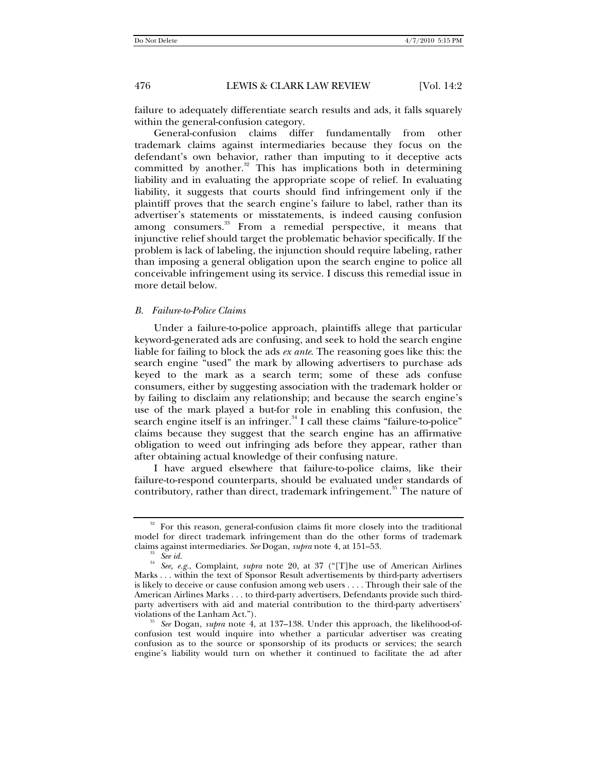failure to adequately differentiate search results and ads, it falls squarely within the general-confusion category.

General-confusion claims differ fundamentally from other trademark claims against intermediaries because they focus on the defendant's own behavior, rather than imputing to it deceptive acts committed by another. $32$  This has implications both in determining liability and in evaluating the appropriate scope of relief. In evaluating liability, it suggests that courts should find infringement only if the plaintiff proves that the search engine's failure to label, rather than its advertiser's statements or misstatements, is indeed causing confusion among consumers.<sup>33</sup> From a remedial perspective, it means that injunctive relief should target the problematic behavior specifically. If the problem is lack of labeling, the injunction should require labeling, rather than imposing a general obligation upon the search engine to police all conceivable infringement using its service. I discuss this remedial issue in more detail below.

### *B. Failure-to-Police Claims*

Under a failure-to-police approach, plaintiffs allege that particular keyword-generated ads are confusing, and seek to hold the search engine liable for failing to block the ads *ex ante*. The reasoning goes like this: the search engine "used" the mark by allowing advertisers to purchase ads keyed to the mark as a search term; some of these ads confuse consumers, either by suggesting association with the trademark holder or by failing to disclaim any relationship; and because the search engine's use of the mark played a but-for role in enabling this confusion, the search engine itself is an infringer. $34$  I call these claims "failure-to-police" claims because they suggest that the search engine has an affirmative obligation to weed out infringing ads before they appear, rather than after obtaining actual knowledge of their confusing nature.

I have argued elsewhere that failure-to-police claims, like their failure-to-respond counterparts, should be evaluated under standards of contributory, rather than direct, trademark infringement.<sup>35</sup> The nature of

<sup>&</sup>lt;sup>32</sup> For this reason, general-confusion claims fit more closely into the traditional model for direct trademark infringement than do the other forms of trademark

claims against intermediaries. *See* Dogan, *supra* note 4, at 151–53. 33 *See id.*<sup>34</sup> *See, e.g.*, Complaint, *supra* note 20, at 37 ("[T]he use of American Airlines Marks . . . within the text of Sponsor Result advertisements by third-party advertisers is likely to deceive or cause confusion among web users . . . . Through their sale of the American Airlines Marks . . . to third-party advertisers, Defendants provide such thirdparty advertisers with aid and material contribution to the third-party advertisers'

<sup>&</sup>lt;sup>35</sup> See Dogan, *supra* note 4, at 137–138. Under this approach, the likelihood-ofconfusion test would inquire into whether a particular advertiser was creating confusion as to the source or sponsorship of its products or services; the search engine's liability would turn on whether it continued to facilitate the ad after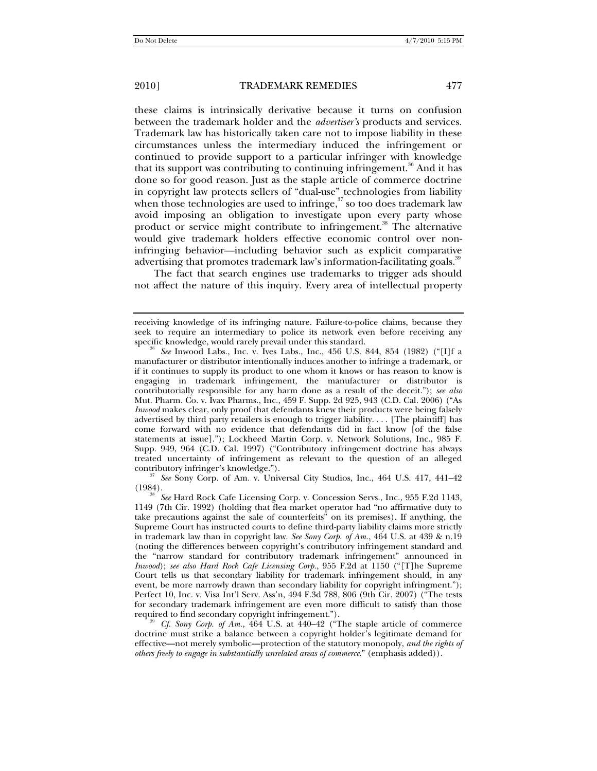these claims is intrinsically derivative because it turns on confusion between the trademark holder and the *advertiser's* products and services. Trademark law has historically taken care not to impose liability in these circumstances unless the intermediary induced the infringement or continued to provide support to a particular infringer with knowledge that its support was contributing to continuing infringement.<sup>36</sup> And it has done so for good reason. Just as the staple article of commerce doctrine in copyright law protects sellers of "dual-use" technologies from liability when those technologies are used to infringe, $37$  so too does trademark law avoid imposing an obligation to investigate upon every party whose product or service might contribute to infringement.<sup>38</sup> The alternative would give trademark holders effective economic control over noninfringing behavior—including behavior such as explicit comparative advertising that promotes trademark law's information-facilitating goals.<sup>39</sup>

The fact that search engines use trademarks to trigger ads should not affect the nature of this inquiry. Every area of intellectual property

<sup>37</sup> See Sony Corp. of Am. v. Universal City Studios, Inc., 464 U.S. 417, 441–42

*Cf. Sony Corp. of Am.*, 464 U.S. at 440–42 ("The staple article of commerce doctrine must strike a balance between a copyright holder's legitimate demand for effective—not merely symbolic—protection of the statutory monopoly, *and the rights of others freely to engage in substantially unrelated areas of commerce*." (emphasis added)).

receiving knowledge of its infringing nature. Failure-to-police claims, because they seek to require an intermediary to police its network even before receiving any specific knowledge, would rarely prevail under this standard.

See Inwood Labs., Inc. v. Ives Labs., Inc., 456 U.S. 844, 854 (1982) ("[I]f a manufacturer or distributor intentionally induces another to infringe a trademark, or if it continues to supply its product to one whom it knows or has reason to know is engaging in trademark infringement, the manufacturer or distributor is contributorially responsible for any harm done as a result of the deceit."); *see also* Mut. Pharm. Co. v. Ivax Pharms., Inc., 459 F. Supp. 2d 925, 943 (C.D. Cal. 2006) ("As *Inwood* makes clear, only proof that defendants knew their products were being falsely advertised by third party retailers is enough to trigger liability. . . . [The plaintiff] has come forward with no evidence that defendants did in fact know [of the false statements at issue]."); Lockheed Martin Corp. v. Network Solutions, Inc., 985 F. Supp. 949, 964 (C.D. Cal. 1997) ("Contributory infringement doctrine has always treated uncertainty of infringement as relevant to the question of an alleged

<sup>(1984). 38</sup> *See* Hard Rock Cafe Licensing Corp. v. Concession Servs., Inc., 955 F.2d 1143, 1149 (7th Cir. 1992) (holding that flea market operator had "no affirmative duty to take precautions against the sale of counterfeits" on its premises). If anything, the Supreme Court has instructed courts to define third-party liability claims more strictly in trademark law than in copyright law. *See Sony Corp. of Am.*, 464 U.S. at 439 & n.19 (noting the differences between copyright's contributory infringement standard and the "narrow standard for contributory trademark infringement" announced in *Inwood*); *see also Hard Rock Cafe Licensing Corp.*, 955 F.2d at 1150 ("[T]he Supreme Court tells us that secondary liability for trademark infringement should, in any event, be more narrowly drawn than secondary liability for copyright infringment."); Perfect 10, Inc. v. Visa Int'l Serv. Ass'n, 494 F.3d 788, 806 (9th Cir. 2007) ("The tests for secondary trademark infringement are even more difficult to satisfy than those required to find secondary copyright infringement.").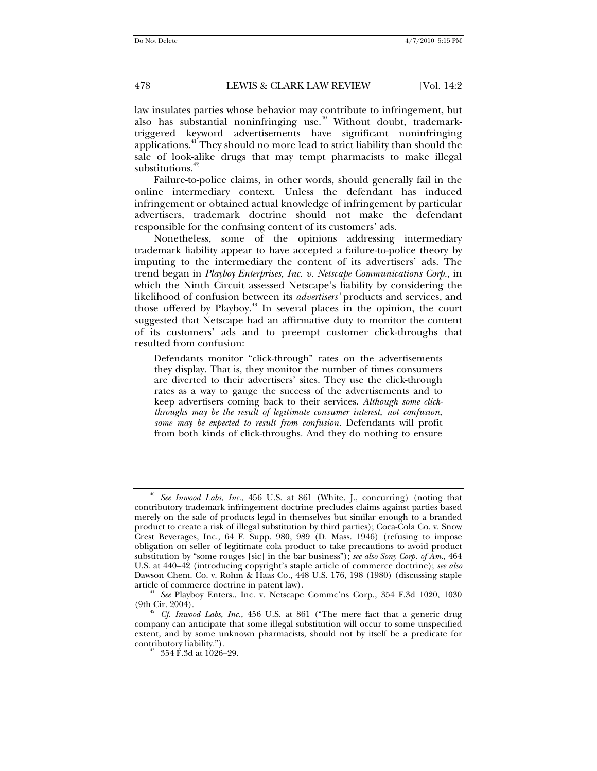law insulates parties whose behavior may contribute to infringement, but also has substantial noninfringing use. $40$  Without doubt, trademarktriggered keyword advertisements have significant noninfringing applications.<sup>41</sup> They should no more lead to strict liability than should the sale of look-alike drugs that may tempt pharmacists to make illegal substitutions.<sup>42</sup>

Failure-to-police claims, in other words, should generally fail in the online intermediary context. Unless the defendant has induced infringement or obtained actual knowledge of infringement by particular advertisers, trademark doctrine should not make the defendant responsible for the confusing content of its customers' ads.

Nonetheless, some of the opinions addressing intermediary trademark liability appear to have accepted a failure-to-police theory by imputing to the intermediary the content of its advertisers' ads. The trend began in *Playboy Enterprises, Inc. v. Netscape Communications Corp.*, in which the Ninth Circuit assessed Netscape's liability by considering the likelihood of confusion between its *advertisers'* products and services, and those offered by Playboy.<sup>43</sup> In several places in the opinion, the court suggested that Netscape had an affirmative duty to monitor the content of its customers' ads and to preempt customer click-throughs that resulted from confusion:

Defendants monitor "click-through" rates on the advertisements they display. That is, they monitor the number of times consumers are diverted to their advertisers' sites. They use the click-through rates as a way to gauge the success of the advertisements and to keep advertisers coming back to their services. *Although some clickthroughs may be the result of legitimate consumer interest, not confusion, some may be expected to result from confusion.* Defendants will profit from both kinds of click-throughs. And they do nothing to ensure

<sup>40</sup> *See Inwood Labs*, *Inc*., 456 U.S. at 861 (White, J., concurring) (noting that contributory trademark infringement doctrine precludes claims against parties based merely on the sale of products legal in themselves but similar enough to a branded product to create a risk of illegal substitution by third parties); Coca-Cola Co. v. Snow Crest Beverages, Inc., 64 F. Supp. 980, 989 (D. Mass. 1946) (refusing to impose obligation on seller of legitimate cola product to take precautions to avoid product substitution by "some rouges [sic] in the bar business"); *see also Sony Corp. of Am.*, 464 U.S. at 440–42 (introducing copyright's staple article of commerce doctrine); *see also*  Dawson Chem. Co. v. Rohm & Haas Co., 448 U.S. 176, 198 (1980) (discussing staple

article of commerce doctrine in patent law).<br><sup>41</sup> *See* Playboy Enters., Inc. v. Netscape Commc'ns Corp., 354 F.3d 1020, 1030<br>(9th Cir. 2004).

<sup>(9</sup>th Cir. 2004). 42 *Cf. Inwood Labs, Inc.*, 456 U.S. at 861 ("The mere fact that a generic drug company can anticipate that some illegal substitution will occur to some unspecified extent, and by some unknown pharmacists, should not by itself be a predicate for

 $4^3$  354 F.3d at 1026–29.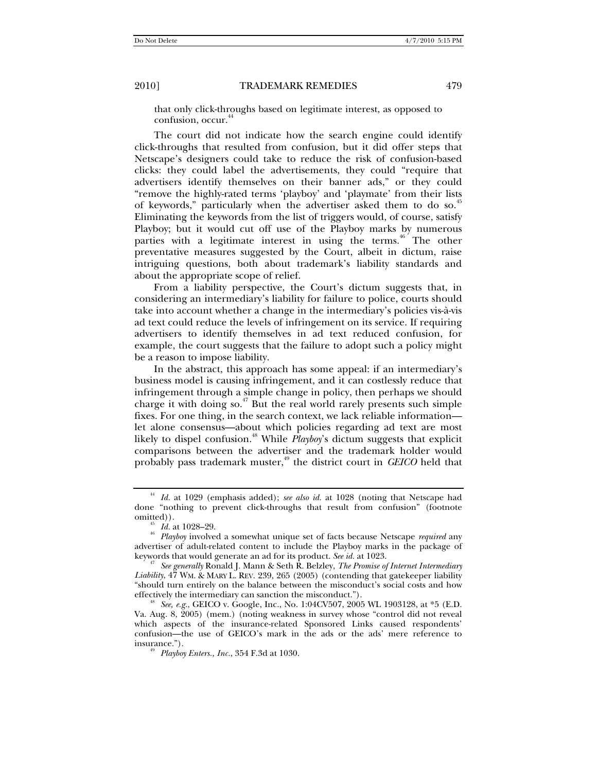that only click-throughs based on legitimate interest, as opposed to confusion, occur.<sup>4</sup>

The court did not indicate how the search engine could identify click-throughs that resulted from confusion, but it did offer steps that Netscape's designers could take to reduce the risk of confusion-based clicks: they could label the advertisements, they could "require that advertisers identify themselves on their banner ads," or they could "remove the highly-rated terms 'playboy' and 'playmate' from their lists of keywords," particularly when the advertiser asked them to do so.<sup>45</sup> Eliminating the keywords from the list of triggers would, of course, satisfy Playboy; but it would cut off use of the Playboy marks by numerous parties with a legitimate interest in using the terms.<sup>46</sup> The other preventative measures suggested by the Court, albeit in dictum, raise intriguing questions, both about trademark's liability standards and about the appropriate scope of relief.

From a liability perspective, the Court's dictum suggests that, in considering an intermediary's liability for failure to police, courts should take into account whether a change in the intermediary's policies vis-à-vis ad text could reduce the levels of infringement on its service. If requiring advertisers to identify themselves in ad text reduced confusion, for example, the court suggests that the failure to adopt such a policy might be a reason to impose liability.

In the abstract, this approach has some appeal: if an intermediary's business model is causing infringement, and it can costlessly reduce that infringement through a simple change in policy, then perhaps we should charge it with doing so.<sup> $47$ </sup> But the real world rarely presents such simple fixes. For one thing, in the search context, we lack reliable information let alone consensus—about which policies regarding ad text are most likely to dispel confusion.<sup>48</sup> While *Playboy*'s dictum suggests that explicit comparisons between the advertiser and the trademark holder would probably pass trademark muster,<sup>49</sup> the district court in *GEICO* held that

<sup>44</sup> *Id.* at 1029 (emphasis added); *see also id.* at 1028 (noting that Netscape had done "nothing to prevent click-throughs that result from confusion" (footnote

<sup>&</sup>lt;sup>45</sup> *Id.* at 1028–29. *Playboy* involved a somewhat unique set of facts because Netscape *required* any advertiser of adult-related content to include the Playboy marks in the package of keywords that would generate an ad for its product. See id. at 1023.

<sup>&</sup>lt;sup>47</sup> See generally Ronald J. Mann & Seth R. Belzley, *The Promise of Internet Intermediary Liability*, 47 WM. & MARY L. REV. 239, 265 (2005) (contending that gatekeeper liability "should turn entirely on the balance between the misconduct's social costs and how effectively the intermediary can sanction the misconduct.").<br><sup>48</sup> *See, e.g.*, GEICO v. Google, Inc., No. 1:04CV507, 2005 WL 1903128, at \*5 (E.D.

Va. Aug. 8, 2005) (mem.) (noting weakness in survey whose "control did not reveal which aspects of the insurance-related Sponsored Links caused respondents' confusion—the use of GEICO's mark in the ads or the ads' mere reference to insurance."). 49 *Playboy Enters., Inc.*, 354 F.3d at 1030.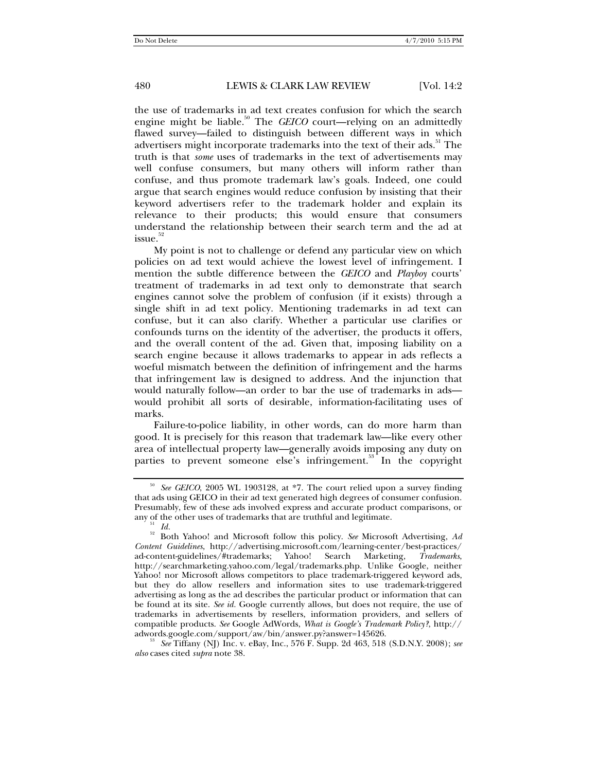the use of trademarks in ad text creates confusion for which the search engine might be liable.<sup>50</sup> The *GEICO* court—relying on an admittedly flawed survey—failed to distinguish between different ways in which advertisers might incorporate trademarks into the text of their ads.<sup>51</sup> The truth is that *some* uses of trademarks in the text of advertisements may well confuse consumers, but many others will inform rather than confuse, and thus promote trademark law's goals. Indeed, one could argue that search engines would reduce confusion by insisting that their keyword advertisers refer to the trademark holder and explain its relevance to their products; this would ensure that consumers understand the relationship between their search term and the ad at  $is \mathrm{sue.}^{52}$ 

My point is not to challenge or defend any particular view on which policies on ad text would achieve the lowest level of infringement. I mention the subtle difference between the *GEICO* and *Playboy* courts' treatment of trademarks in ad text only to demonstrate that search engines cannot solve the problem of confusion (if it exists) through a single shift in ad text policy. Mentioning trademarks in ad text can confuse, but it can also clarify. Whether a particular use clarifies or confounds turns on the identity of the advertiser, the products it offers, and the overall content of the ad. Given that, imposing liability on a search engine because it allows trademarks to appear in ads reflects a woeful mismatch between the definition of infringement and the harms that infringement law is designed to address. And the injunction that would naturally follow—an order to bar the use of trademarks in ads would prohibit all sorts of desirable, information-facilitating uses of marks.

Failure-to-police liability, in other words, can do more harm than good. It is precisely for this reason that trademark law—like every other area of intellectual property law—generally avoids imposing any duty on parties to prevent someone else's infringement.<sup>53</sup> In the copyright

<sup>50</sup> *See GEICO*, 2005 WL 1903128, at \*7. The court relied upon a survey finding that ads using GEICO in their ad text generated high degrees of consumer confusion. Presumably, few of these ads involved express and accurate product comparisons, or

<sup>&</sup>lt;sup>51</sup> *Id.* 52 *Id.* 51 *Id.* 51 *Id.* 52 *Id.* **52** *Id.* **52** *Id.* **52** *Id.* **52** *Id.* **52** *Id.* **52** *Id.* **52** *Id.* **52** *Id.* **52** *Id.* **52** *Id.* **52** *Id.* **52** *Id.* **52** *Id.* **52** *Id.* **52** *Id.* **52** *Id.* **52** *Id.* **52** *Id.* **52** *Id.* **52** *Content Guidelines*, http://advertising.microsoft.com/learning-center/best-practices/ ad-content-guidelines/#trademarks; http://searchmarketing.yahoo.com/legal/trademarks.php. Unlike Google, neither Yahoo! nor Microsoft allows competitors to place trademark-triggered keyword ads, but they do allow resellers and information sites to use trademark-triggered advertising as long as the ad describes the particular product or information that can be found at its site. *See id.* Google currently allows, but does not require, the use of trademarks in advertisements by resellers, information providers, and sellers of compatible products. *See* Google AdWords, *What is Google's Trademark Policy?*, http:// adwords.google.com/support/aw/bin/answer.py?answer=145626.<br><sup>53</sup> *See* Tiffany (NJ) Inc. v. eBay, Inc., 576 F. Supp. 2d 463, 518 (S.D.N.Y. 2008); *see* 

*also* cases cited *supra* note 38.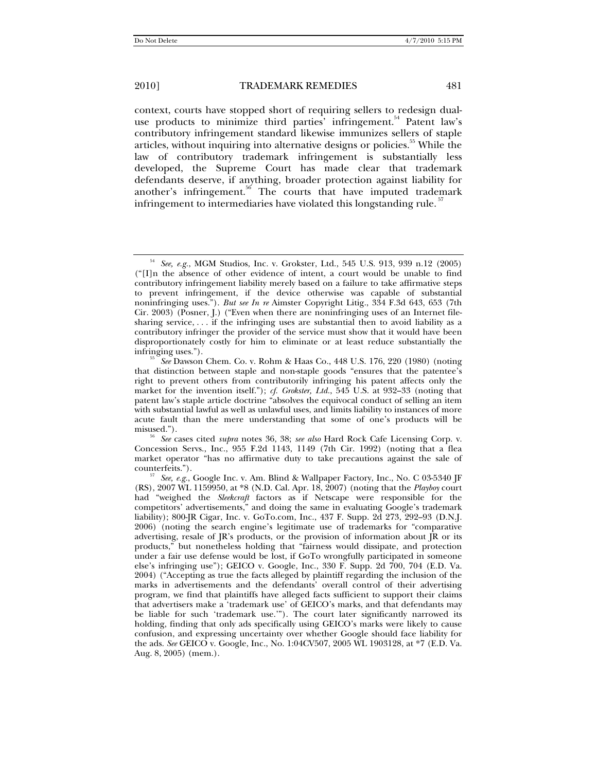context, courts have stopped short of requiring sellers to redesign dualuse products to minimize third parties' infringement.<sup>54</sup> Patent law's contributory infringement standard likewise immunizes sellers of staple articles, without inquiring into alternative designs or policies.<sup>55</sup> While the law of contributory trademark infringement is substantially less developed, the Supreme Court has made clear that trademark defendants deserve, if anything, broader protection against liability for another's infringement.<sup>56</sup> The courts that have imputed trademark infringement to intermediaries have violated this longstanding rule.<sup>57</sup>

Concession Servs., Inc., 955 F.2d 1143, 1149 (7th Cir. 1992) (noting that a flea market operator "has no affirmative duty to take precautions against the sale of

<sup>54</sup> *See, e.g.*, MGM Studios, Inc. v. Grokster, Ltd., 545 U.S. 913, 939 n.12 (2005) ("[I]n the absence of other evidence of intent, a court would be unable to find contributory infringement liability merely based on a failure to take affirmative steps to prevent infringement, if the device otherwise was capable of substantial noninfringing uses."). *But see In re* Aimster Copyright Litig., 334 F.3d 643, 653 (7th Cir. 2003) (Posner, J.) ("Even when there are noninfringing uses of an Internet filesharing service, . . . if the infringing uses are substantial then to avoid liability as a contributory infringer the provider of the service must show that it would have been disproportionately costly for him to eliminate or at least reduce substantially the infringing uses.").

 $^{55}$  *See* Dawson Chem. Co. v. Rohm & Haas Co., 448 U.S. 176, 220 (1980) (noting that distinction between staple and non-staple goods "ensures that the patentee's right to prevent others from contributorily infringing his patent affects only the market for the invention itself."); *cf. Grokster, Ltd.*, 545 U.S. at 932–33 (noting that patent law's staple article doctrine "absolves the equivocal conduct of selling an item with substantial lawful as well as unlawful uses, and limits liability to instances of more acute fault than the mere understanding that some of one's products will be misused."). 56 *See* cases cited *supra* notes 36, 38; *see also* Hard Rock Cafe Licensing Corp. v.

counterfeits."). 57 *See, e.g.*, Google Inc. v. Am. Blind & Wallpaper Factory, Inc., No. C 03-5340 JF (RS), 2007 WL 1159950, at \*8 (N.D. Cal. Apr. 18, 2007) (noting that the *Playboy* court had "weighed the *Sleekcraft* factors as if Netscape were responsible for the competitors' advertisements," and doing the same in evaluating Google's trademark liability); 800-JR Cigar, Inc. v. GoTo.com, Inc., 437 F. Supp. 2d 273, 292–93 (D.N.J. 2006) (noting the search engine's legitimate use of trademarks for "comparative advertising, resale of JR's products, or the provision of information about JR or its products," but nonetheless holding that "fairness would dissipate, and protection under a fair use defense would be lost, if GoTo wrongfully participated in someone else's infringing use"); GEICO v. Google, Inc., 330 F. Supp. 2d 700, 704 (E.D. Va. 2004) ("Accepting as true the facts alleged by plaintiff regarding the inclusion of the marks in advertisements and the defendants' overall control of their advertising program, we find that plaintiffs have alleged facts sufficient to support their claims that advertisers make a 'trademark use' of GEICO's marks, and that defendants may be liable for such 'trademark use.'"). The court later significantly narrowed its holding, finding that only ads specifically using GEICO's marks were likely to cause confusion, and expressing uncertainty over whether Google should face liability for the ads. *See* GEICO v. Google, Inc., No. 1:04CV507, 2005 WL 1903128, at \*7 (E.D. Va. Aug. 8, 2005) (mem.).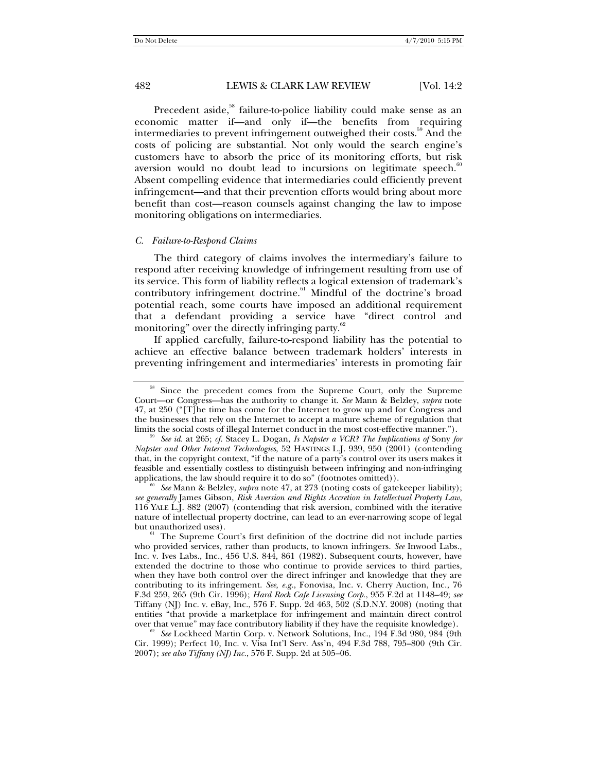Precedent aside,<sup>58</sup> failure-to-police liability could make sense as an economic matter if—and only if—the benefits from requiring intermediaries to prevent infringement outweighed their costs.<sup>59</sup> And the costs of policing are substantial. Not only would the search engine's customers have to absorb the price of its monitoring efforts, but risk aversion would no doubt lead to incursions on legitimate speech. $\degree$ Absent compelling evidence that intermediaries could efficiently prevent infringement—and that their prevention efforts would bring about more benefit than cost—reason counsels against changing the law to impose monitoring obligations on intermediaries.

### *C. Failure-to-Respond Claims*

The third category of claims involves the intermediary's failure to respond after receiving knowledge of infringement resulting from use of its service. This form of liability reflects a logical extension of trademark's contributory infringement doctrine.<sup>61</sup> Mindful of the doctrine's broad potential reach, some courts have imposed an additional requirement that a defendant providing a service have "direct control and monitoring" over the directly infringing party.

If applied carefully, failure-to-respond liability has the potential to achieve an effective balance between trademark holders' interests in preventing infringement and intermediaries' interests in promoting fair

<sup>&</sup>lt;sup>58</sup> Since the precedent comes from the Supreme Court, only the Supreme Court—or Congress—has the authority to change it. *See* Mann & Belzley, *supra* note 47, at 250 ("[T]he time has come for the Internet to grow up and for Congress and the businesses that rely on the Internet to accept a mature scheme of regulation that limits the social costs of illegal Internet conduct in the most cost-effective manner.").

See id. at 265; *cf.* Stacey L. Dogan, *Is Napster a VCR? The Implications of Sony for Napster and Other Internet Technologies*, 52 HASTINGS L.J. 939, 950 (2001) (contending that, in the copyright context, "if the nature of a party's control over its users makes it feasible and essentially costless to distinguish between infringing and non-infringing applications, the law should require it to do so" (footnotes omitted)).<br><sup>60</sup> *See* Mann & Belzley, *supra* note 47, at 273 (noting costs of gatekeeper liability);

*see generally* James Gibson, *Risk Aversion and Rights Accretion in Intellectual Property Law*, 116 YALE L.J. 882 (2007) (contending that risk aversion, combined with the iterative nature of intellectual property doctrine, can lead to an ever-narrowing scope of legal but unauthorized uses).<br><sup>61</sup> The Supreme Court's first definition of the doctrine did not include parties

who provided services, rather than products, to known infringers. *See* Inwood Labs., Inc. v. Ives Labs., Inc., 456 U.S. 844, 861 (1982). Subsequent courts, however, have extended the doctrine to those who continue to provide services to third parties, when they have both control over the direct infringer and knowledge that they are contributing to its infringement. *See, e.g.*, Fonovisa, Inc. v. Cherry Auction, Inc., 76 F.3d 259, 265 (9th Cir. 1996); *Hard Rock Cafe Licensing Corp*., 955 F.2d at 1148–49; *see* Tiffany (NJ) Inc. v. eBay, Inc., 576 F. Supp. 2d 463, 502 (S.D.N.Y. 2008) (noting that entities "that provide a marketplace for infringement and maintain direct control over that venue" may face contributory liability if they have the requisite knowledge).<br><sup>62</sup> *See* Lockheed Martin Corp. v. Network Solutions, Inc., 194 F.3d 980, 984 (9th

Cir. 1999); Perfect 10, Inc. v. Visa Int'l Serv. Ass'n, 494 F.3d 788, 795–800 (9th Cir. 2007); *see also Tiffany (NJ) Inc.*, 576 F. Supp. 2d at 505–06.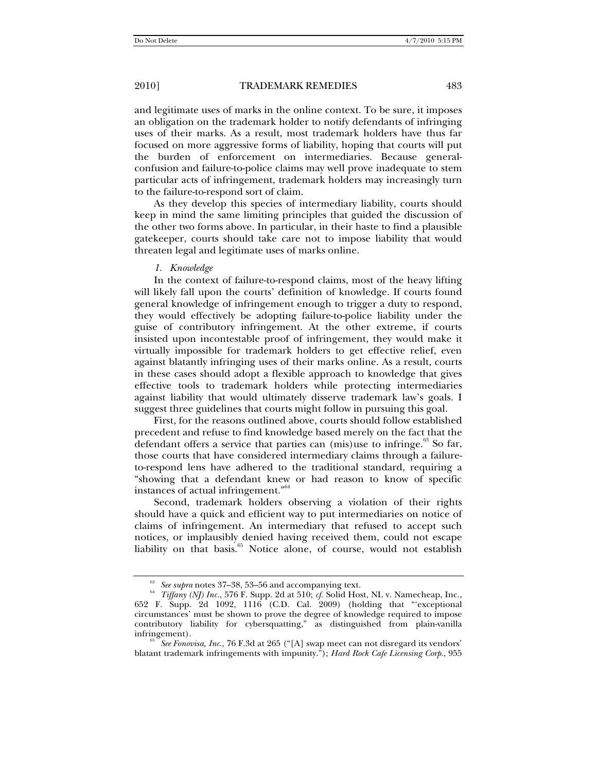and legitimate uses of marks in the online context. To be sure, it imposes an obligation on the trademark holder to notify defendants of infringing uses of their marks. As a result, most trademark holders have thus far focused on more aggressive forms of liability, hoping that courts will put the burden of enforcement on intermediaries. Because generalconfusion and failure-to-police claims may well prove inadequate to stem particular acts of infringement, trademark holders may increasingly turn to the failure-to-respond sort of claim.

As they develop this species of intermediary liability, courts should keep in mind the same limiting principles that guided the discussion of the other two forms above. In particular, in their haste to find a plausible gatekeeper, courts should take care not to impose liability that would threaten legal and legitimate uses of marks online.

### *1. Knowledge*

In the context of failure-to-respond claims, most of the heavy lifting will likely fall upon the courts' definition of knowledge. If courts found general knowledge of infringement enough to trigger a duty to respond, they would effectively be adopting failure-to-police liability under the guise of contributory infringement. At the other extreme, if courts insisted upon incontestable proof of infringement, they would make it virtually impossible for trademark holders to get effective relief, even against blatantly infringing uses of their marks online. As a result, courts in these cases should adopt a flexible approach to knowledge that gives effective tools to trademark holders while protecting intermediaries against liability that would ultimately disserve trademark law's goals. I suggest three guidelines that courts might follow in pursuing this goal.

First, for the reasons outlined above, courts should follow established precedent and refuse to find knowledge based merely on the fact that the defendant offers a service that parties can (mis)use to infringe. $63$  So far, those courts that have considered intermediary claims through a failureto-respond lens have adhered to the traditional standard, requiring a "showing that a defendant knew or had reason to know of specific instances of actual infringement."<sup>64</sup>

Second, trademark holders observing a violation of their rights should have a quick and efficient way to put intermediaries on notice of claims of infringement. An intermediary that refused to accept such notices, or implausibly denied having received them, could not escape liability on that basis.<sup>65</sup> Notice alone, of course, would not establish

 $^{63}$  *See supra* notes 37–38, 53–56 and accompanying text. Tiffany (NJ) Inc., 576 F. Supp. 2d at 510; *cf.* Solid Host, NL v. Namecheap, Inc., 652 F. Supp. 2d 1092, 1116 (C.D. Cal. 2009) (holding that "'exceptional circumstances' must be shown to prove the degree of knowledge required to impose contributory liability for cybersquatting," as distinguished from plain-vanilla

See *Fonovisa, Inc.*, 76 F.3d at 265 ("[A] swap meet can not disregard its vendors' blatant trademark infringements with impunity."); *Hard Rock Cafe Licensing Corp.*, 955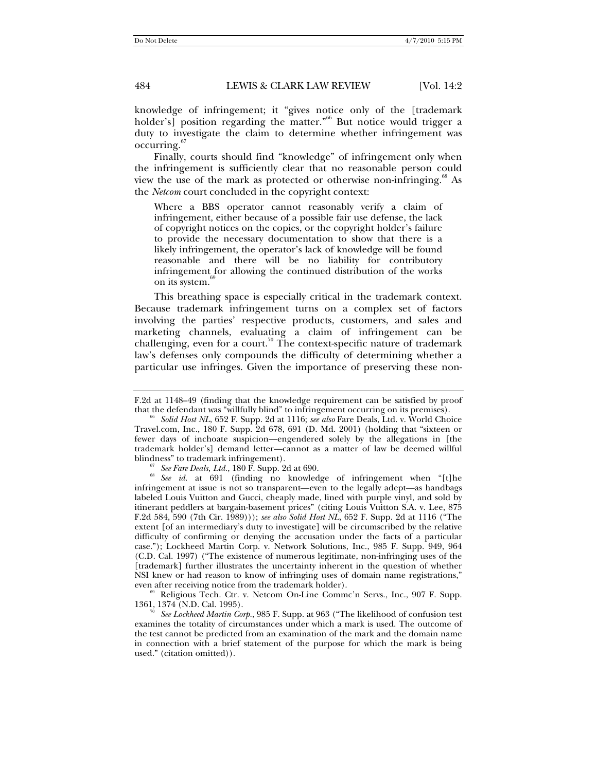knowledge of infringement; it "gives notice only of the [trademark holder's] position regarding the matter.<sup>"66</sup> But notice would trigger a duty to investigate the claim to determine whether infringement was occurring.67

Finally, courts should find "knowledge" of infringement only when the infringement is sufficiently clear that no reasonable person could view the use of the mark as protected or otherwise non-infringing.<sup>68</sup> As the *Netcom* court concluded in the copyright context:

Where a BBS operator cannot reasonably verify a claim of infringement, either because of a possible fair use defense, the lack of copyright notices on the copies, or the copyright holder's failure to provide the necessary documentation to show that there is a likely infringement, the operator's lack of knowledge will be found reasonable and there will be no liability for contributory infringement for allowing the continued distribution of the works on its system.<sup>69</sup>

This breathing space is especially critical in the trademark context. Because trademark infringement turns on a complex set of factors involving the parties' respective products, customers, and sales and marketing channels, evaluating a claim of infringement can be challenging, even for a court.<sup>70</sup> The context-specific nature of trademark law's defenses only compounds the difficulty of determining whether a particular use infringes. Given the importance of preserving these non-

even after receiving notice from the trademark holder).<br><sup>69</sup> Religious Tech. Ctr. v. Netcom On-Line Commc'n Servs., Inc., 907 F. Supp.<br>1361, 1374 (N.D. Cal. 1995).

F.2d at 1148–49 (finding that the knowledge requirement can be satisfied by proof

Solid Host NL, 652 F. Supp. 2d at 1116; *see also* Fare Deals, Ltd. v. World Choice Travel.com, Inc., 180 F. Supp. 2d 678, 691 (D. Md. 2001) (holding that "sixteen or fewer days of inchoate suspicion—engendered solely by the allegations in [the trademark holder's] demand letter—cannot as a matter of law be deemed willful

<sup>&</sup>lt;sup>67</sup> *See Fare Deals, Ltd.*, 180 F. Supp. 2d at 690. **68** *See id.* at 691 (finding no knowledge of infringement when "[t]he infringement at issue is not so transparent—even to the legally adept—as handbags labeled Louis Vuitton and Gucci, cheaply made, lined with purple vinyl, and sold by itinerant peddlers at bargain-basement prices" (citing Louis Vuitton S.A. v. Lee, 875 F.2d 584, 590 (7th Cir. 1989))); *see also Solid Host NL*, 652 F. Supp. 2d at 1116 ("The extent [of an intermediary's duty to investigate] will be circumscribed by the relative difficulty of confirming or denying the accusation under the facts of a particular case."); Lockheed Martin Corp. v. Network Solutions, Inc., 985 F. Supp. 949, 964 (C.D. Cal. 1997) ("The existence of numerous legitimate, non-infringing uses of the [trademark] further illustrates the uncertainty inherent in the question of whether NSI knew or had reason to know of infringing uses of domain name registrations,"

<sup>1361, 1374 (</sup>N.D. Cal. 1995). 70 *See Lockheed Martin Corp.*, 985 F. Supp. at 963 ("The likelihood of confusion test examines the totality of circumstances under which a mark is used. The outcome of the test cannot be predicted from an examination of the mark and the domain name in connection with a brief statement of the purpose for which the mark is being used." (citation omitted)).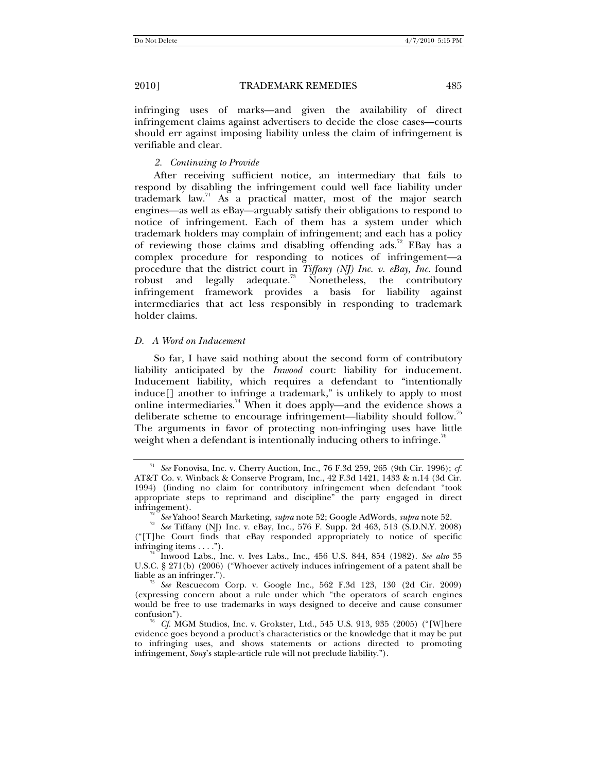infringing uses of marks—and given the availability of direct infringement claims against advertisers to decide the close cases—courts should err against imposing liability unless the claim of infringement is verifiable and clear.

### *2. Continuing to Provide*

After receiving sufficient notice, an intermediary that fails to respond by disabling the infringement could well face liability under trademark  $law<sup>71</sup>$  As a practical matter, most of the major search engines—as well as eBay—arguably satisfy their obligations to respond to notice of infringement. Each of them has a system under which trademark holders may complain of infringement; and each has a policy of reviewing those claims and disabling offending ads.<sup>72</sup> EBay has a complex procedure for responding to notices of infringement—a procedure that the district court in *Tiffany (NJ) Inc. v. eBay, Inc.* found robust and legally adequate.<sup>73</sup> Nonetheless, the contributory infringement framework provides a basis for liability against intermediaries that act less responsibly in responding to trademark holder claims.

### *D. A Word on Inducement*

So far, I have said nothing about the second form of contributory liability anticipated by the *Inwood* court: liability for inducement. Inducement liability, which requires a defendant to "intentionally induce[] another to infringe a trademark," is unlikely to apply to most online intermediaries.<sup>74</sup> When it does apply—and the evidence shows a deliberate scheme to encourage infringement—liability should follow.<sup>75</sup> The arguments in favor of protecting non-infringing uses have little weight when a defendant is intentionally inducing others to infringe.<sup>76</sup>

<sup>71</sup> *See* Fonovisa, Inc. v. Cherry Auction, Inc., 76 F.3d 259, 265 (9th Cir. 1996); *cf.*  AT&T Co. v. Winback & Conserve Program, Inc., 42 F.3d 1421, 1433 & n.14 (3d Cir. 1994) (finding no claim for contributory infringement when defendant "took appropriate steps to reprimand and discipline" the party engaged in direct

infringement). 72 *See* Yahoo! Search Marketing, *supra* note 52; Google AdWords, *supra* note 52. 73 *See* Tiffany (NJ) Inc. v. eBay, Inc., 576 F. Supp. 2d 463, 513 (S.D.N.Y. 2008) ("[T]he Court finds that eBay responded appropriately to notice of specific

infringing items . . . ."). 74 Inwood Labs., Inc. v. Ives Labs., Inc., 456 U.S. 844, 854 (1982). *See also*<sup>35</sup> U.S.C. § 271(b) (2006) ("Whoever actively induces infringement of a patent shall be liable as an infringer.").

See Rescuecom Corp. v. Google Inc., 562 F.3d 123, 130 (2d Cir. 2009) (expressing concern about a rule under which "the operators of search engines would be free to use trademarks in ways designed to deceive and cause consumer

 $^{76}$  *Cf.* MGM Studios, Inc. v. Grokster, Ltd., 545 U.S. 913, 935 (2005) ("[W]here evidence goes beyond a product's characteristics or the knowledge that it may be put to infringing uses, and shows statements or actions directed to promoting infringement, *Sony*'s staple-article rule will not preclude liability.").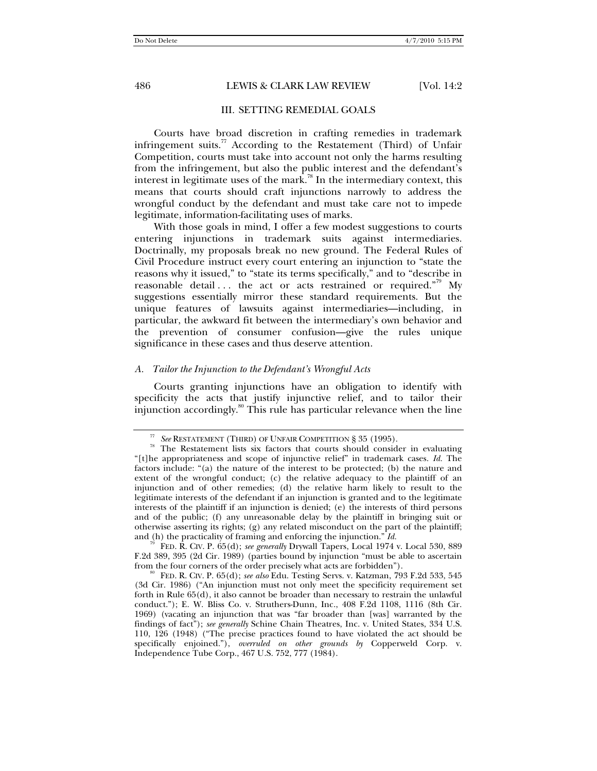### III. SETTING REMEDIAL GOALS

Courts have broad discretion in crafting remedies in trademark infringement suits.<sup>77</sup> According to the Restatement (Third) of Unfair Competition, courts must take into account not only the harms resulting from the infringement, but also the public interest and the defendant's interest in legitimate uses of the mark.<sup>78</sup> In the intermediary context, this means that courts should craft injunctions narrowly to address the wrongful conduct by the defendant and must take care not to impede legitimate, information-facilitating uses of marks.

With those goals in mind, I offer a few modest suggestions to courts entering injunctions in trademark suits against intermediaries. Doctrinally, my proposals break no new ground. The Federal Rules of Civil Procedure instruct every court entering an injunction to "state the reasons why it issued," to "state its terms specifically," and to "describe in reasonable detail  $\ldots$  the act or acts restrained or required."<sup>79</sup> My suggestions essentially mirror these standard requirements. But the unique features of lawsuits against intermediaries—including, in particular, the awkward fit between the intermediary's own behavior and the prevention of consumer confusion—give the rules unique significance in these cases and thus deserve attention.

### *A. Tailor the Injunction to the Defendant's Wrongful Acts*

Courts granting injunctions have an obligation to identify with specificity the acts that justify injunctive relief, and to tailor their injunction accordingly.<sup>80</sup> This rule has particular relevance when the line

<sup>&</sup>lt;sup>77</sup> *See* RESTATEMENT (THIRD) OF UNFAIR COMPETITION § 35 (1995). The Restatement lists six factors that courts should consider in evaluating "[t]he appropriateness and scope of injunctive relief" in trademark cases. *Id.* The factors include: "(a) the nature of the interest to be protected; (b) the nature and extent of the wrongful conduct; (c) the relative adequacy to the plaintiff of an injunction and of other remedies; (d) the relative harm likely to result to the legitimate interests of the defendant if an injunction is granted and to the legitimate interests of the plaintiff if an injunction is denied; (e) the interests of third persons and of the public; (f) any unreasonable delay by the plaintiff in bringing suit or otherwise asserting its rights; (g) any related misconduct on the part of the plaintiff;

and (h) the practicality of framing and enforcing the injunction." *Id.* <sup>79</sup> FED. R. CIV. P. 65(d); *see generally* Drywall Tapers, Local 1974 v. Local 530, 889 F.2d 389, 395 (2d Cir. 1989) (parties bound by injunction "must be able to ascertain from the four corners of the order precisely what acts are forbidden"). 80 FED. R. CIV. P. 65(d); *see also* Edu. Testing Servs. v. Katzman, 793 F.2d 533, 545

<sup>(3</sup>d Cir. 1986) ("An injunction must not only meet the specificity requirement set forth in Rule 65(d), it also cannot be broader than necessary to restrain the unlawful conduct."); E. W. Bliss Co. v. Struthers-Dunn, Inc., 408 F.2d 1108, 1116 (8th Cir. 1969) (vacating an injunction that was "far broader than [was] warranted by the findings of fact"); *see generally* Schine Chain Theatres, Inc. v. United States, 334 U.S. 110, 126 (1948) ("The precise practices found to have violated the act should be specifically enjoined."), *overruled on other grounds by* Copperweld Corp. v. Independence Tube Corp., 467 U.S. 752, 777 (1984).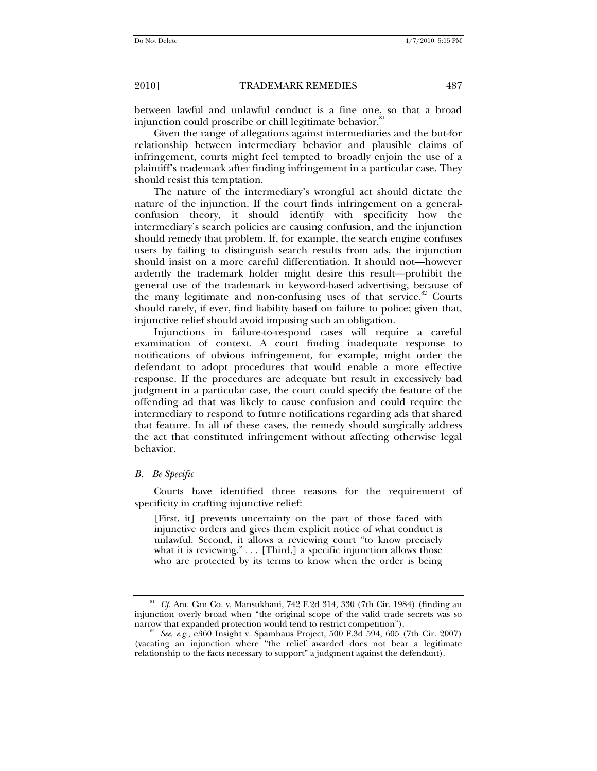between lawful and unlawful conduct is a fine one, so that a broad injunction could proscribe or chill legitimate behavior.<sup>81</sup>

Given the range of allegations against intermediaries and the but-for relationship between intermediary behavior and plausible claims of infringement, courts might feel tempted to broadly enjoin the use of a plaintiff's trademark after finding infringement in a particular case. They should resist this temptation.

The nature of the intermediary's wrongful act should dictate the nature of the injunction. If the court finds infringement on a generalconfusion theory, it should identify with specificity how the intermediary's search policies are causing confusion, and the injunction should remedy that problem. If, for example, the search engine confuses users by failing to distinguish search results from ads, the injunction should insist on a more careful differentiation. It should not—however ardently the trademark holder might desire this result—prohibit the general use of the trademark in keyword-based advertising, because of the many legitimate and non-confusing uses of that service.<sup>82</sup> Courts should rarely, if ever, find liability based on failure to police; given that, injunctive relief should avoid imposing such an obligation.

Injunctions in failure-to-respond cases will require a careful examination of context. A court finding inadequate response to notifications of obvious infringement, for example, might order the defendant to adopt procedures that would enable a more effective response. If the procedures are adequate but result in excessively bad judgment in a particular case, the court could specify the feature of the offending ad that was likely to cause confusion and could require the intermediary to respond to future notifications regarding ads that shared that feature. In all of these cases, the remedy should surgically address the act that constituted infringement without affecting otherwise legal behavior.

### *B. Be Specific*

Courts have identified three reasons for the requirement of specificity in crafting injunctive relief:

[First, it] prevents uncertainty on the part of those faced with injunctive orders and gives them explicit notice of what conduct is unlawful. Second, it allows a reviewing court "to know precisely what it is reviewing." . . . [Third,] a specific injunction allows those who are protected by its terms to know when the order is being

<sup>81</sup> *Cf.* Am. Can Co. v. Mansukhani, 742 F.2d 314, 330 (7th Cir. 1984) (finding an injunction overly broad when "the original scope of the valid trade secrets was so narrow that expanded protection would tend to restrict competition").<br><sup>82</sup> *See, e.g.*, e360 Insight v. Spamhaus Project, 500 F.3d 594, 605 (7th Cir. 2007)

<sup>(</sup>vacating an injunction where "the relief awarded does not bear a legitimate relationship to the facts necessary to support" a judgment against the defendant).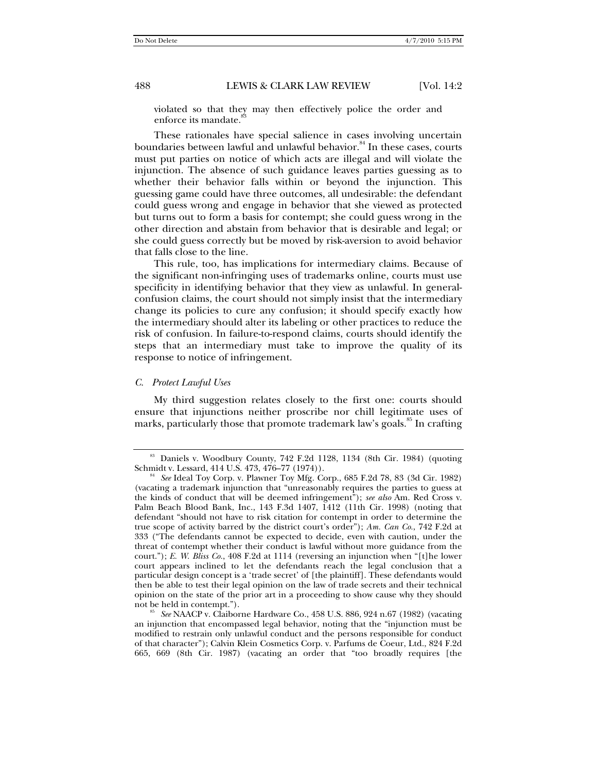violated so that they may then effectively police the order and enforce its mandate.

These rationales have special salience in cases involving uncertain boundaries between lawful and unlawful behavior.<sup>84</sup> In these cases, courts must put parties on notice of which acts are illegal and will violate the injunction. The absence of such guidance leaves parties guessing as to whether their behavior falls within or beyond the injunction. This guessing game could have three outcomes, all undesirable: the defendant could guess wrong and engage in behavior that she viewed as protected but turns out to form a basis for contempt; she could guess wrong in the other direction and abstain from behavior that is desirable and legal; or she could guess correctly but be moved by risk-aversion to avoid behavior that falls close to the line.

This rule, too, has implications for intermediary claims. Because of the significant non-infringing uses of trademarks online, courts must use specificity in identifying behavior that they view as unlawful. In generalconfusion claims, the court should not simply insist that the intermediary change its policies to cure any confusion; it should specify exactly how the intermediary should alter its labeling or other practices to reduce the risk of confusion. In failure-to-respond claims, courts should identify the steps that an intermediary must take to improve the quality of its response to notice of infringement.

### *C. Protect Lawful Uses*

My third suggestion relates closely to the first one: courts should ensure that injunctions neither proscribe nor chill legitimate uses of marks, particularly those that promote trademark law's goals.<sup>85</sup> In crafting

<sup>&</sup>lt;sup>83</sup> Daniels v. Woodbury County, 742 F.2d 1128, 1134 (8th Cir. 1984) (quoting Schmidt v. Lessard, 414 U.S. 473, 476–77 (1974)).

See Ideal Toy Corp. v. Plawner Toy Mfg. Corp., 685 F.2d 78, 83 (3d Cir. 1982) (vacating a trademark injunction that "unreasonably requires the parties to guess at the kinds of conduct that will be deemed infringement"); *see also* Am. Red Cross v. Palm Beach Blood Bank, Inc., 143 F.3d 1407, 1412 (11th Cir. 1998) (noting that defendant "should not have to risk citation for contempt in order to determine the true scope of activity barred by the district court's order"); *Am. Can Co.*, 742 F.2d at 333 ("The defendants cannot be expected to decide, even with caution, under the threat of contempt whether their conduct is lawful without more guidance from the court."); *E. W. Bliss Co.*, 408 F.2d at 1114 (reversing an injunction when "[t]he lower court appears inclined to let the defendants reach the legal conclusion that a particular design concept is a 'trade secret' of [the plaintiff]. These defendants would then be able to test their legal opinion on the law of trade secrets and their technical opinion on the state of the prior art in a proceeding to show cause why they should

not be held in contempt."). 85 *See* NAACP v. Claiborne Hardware Co., 458 U.S. 886, 924 n.67 (1982) (vacating an injunction that encompassed legal behavior, noting that the "injunction must be modified to restrain only unlawful conduct and the persons responsible for conduct of that character"); Calvin Klein Cosmetics Corp. v. Parfums de Coeur, Ltd., 824 F.2d 665, 669 (8th Cir. 1987) (vacating an order that "too broadly requires [the